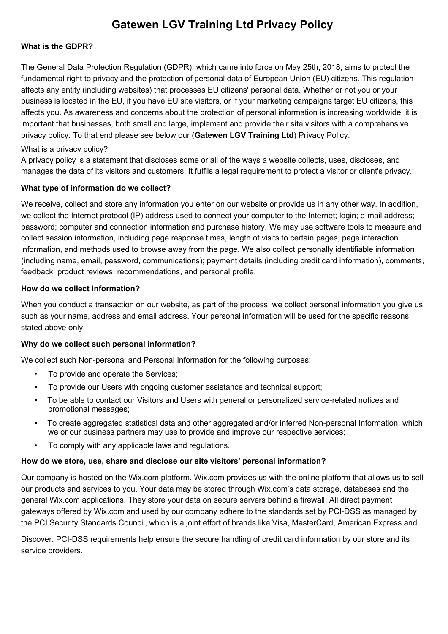# **Gatewen LGV Training Ltd Privacy Policy**

## **What is the GDPR?**

The General Data Protection Regulation (GDPR), which came into force on May 25th, 2018, aims to protect the fundamental right to privacy and the protection of personal data of European Union (EU) citizens. This regulation affects any entity (including websites) that processes EU citizens' personal data. Whether or not you or your business is located in the EU, if you have EU site visitors, or if your marketing campaigns target EU citizens, this affects you. As awareness and concerns about the protection of personal information is increasing worldwide, it is important that businesses, both small and large, implement and provide their site visitors with a comprehensive privacy policy. To that end please see below our (**Gatewen LGV Training Ltd**) Privacy Policy.

### What is a privacy policy?

A privacy policy is a statement that discloses some or all of the ways a website collects, uses, discloses, and manages the data of its visitors and customers. It fulfils a legal requirement to protect a visitor or client's privacy.

## **What type of information do we collect?**

We receive, collect and store any information you enter on our website or provide us in any other way. In addition, we collect the Internet protocol (IP) address used to connect your computer to the Internet; login; e-mail address; password; computer and connection information and purchase history. We may use software tools to measure and collect session information, including page response times, length of visits to certain pages, page interaction information, and methods used to browse away from the page. We also collect personally identifiable information (including name, email, password, communications); payment details (including credit card information), comments, feedback, product reviews, recommendations, and personal profile.

### **How do we collect information?**

When you conduct a transaction on our website, as part of the process, we collect personal information you give us such as your name, address and email address. Your personal information will be used for the specific reasons stated above only.

## **Why do we collect such personal information?**

We collect such Non-personal and Personal Information for the following purposes:

- To provide and operate the Services;
- To provide our Users with ongoing customer assistance and technical support;
- To be able to contact our Visitors and Users with general or personalized service-related notices and promotional messages;
- To create aggregated statistical data and other aggregated and/or inferred Non-personal Information, which we or our business partners may use to provide and improve our respective services;
- To comply with any applicable laws and regulations.

## **How do we store, use, share and disclose our site visitors' personal information?**

Our company is hosted on the Wix.com platform. Wix.com provides us with the online platform that allows us to sell our products and services to you. Your data may be stored through Wix.com's data storage, databases and the general Wix.com applications. They store your data on secure servers behind a firewall. All direct payment gateways offered by Wix.com and used by our company adhere to the standards set by PCI-DSS as managed by the PCI Security Standards Council, which is a joint effort of brands like Visa, MasterCard, American Express and

Discover. PCI-DSS requirements help ensure the secure handling of credit card information by our store and its service providers.